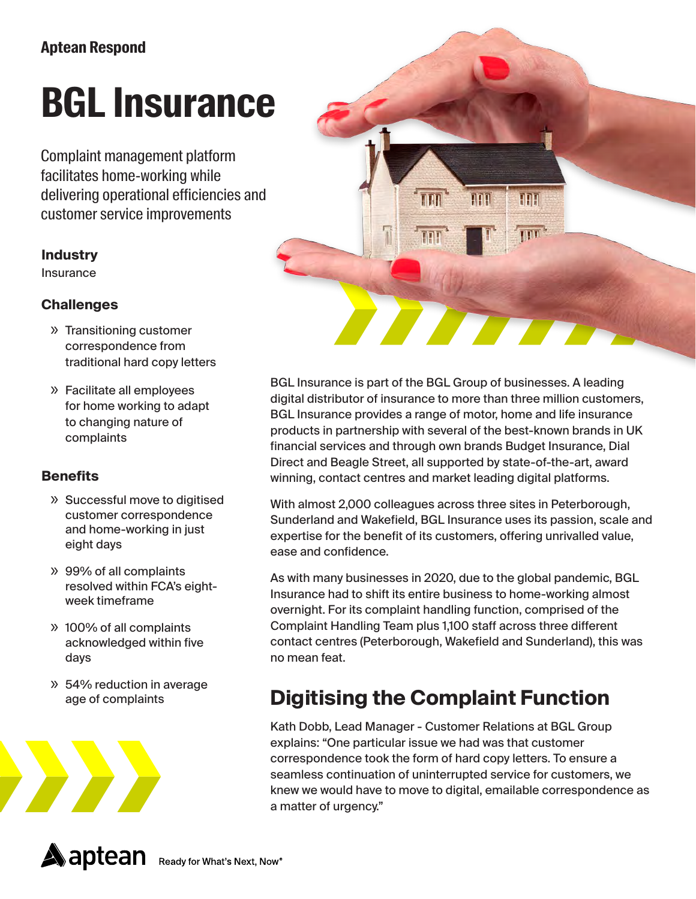# **BGL Insurance**

Complaint management platform facilitates home-working while delivering operational efficiencies and customer service improvements

#### **Industry**

Insurance

#### **Challenges**

- » Transitioning customer correspondence from traditional hard copy letters
- » Facilitate all employees for home working to adapt to changing nature of complaints

#### **Benefits**

- » Successful move to digitised customer correspondence and home-working in just eight days
- » 99% of all complaints resolved within FCA's eightweek timeframe
- » 100% of all complaints acknowledged within five days
- » 54% reduction in average age of complaints





BGL Insurance is part of the BGL Group of businesses. A leading digital distributor of insurance to more than three million customers, BGL Insurance provides a range of motor, home and life insurance products in partnership with several of the best-known brands in UK financial services and through own brands Budget Insurance, Dial Direct and Beagle Street, all supported by state-of-the-art, award winning, contact centres and market leading digital platforms.

With almost 2,000 colleagues across three sites in Peterborough, Sunderland and Wakefield, BGL Insurance uses its passion, scale and expertise for the benefit of its customers, offering unrivalled value, ease and confidence.

As with many businesses in 2020, due to the global pandemic, BGL Insurance had to shift its entire business to home-working almost overnight. For its complaint handling function, comprised of the Complaint Handling Team plus 1,100 staff across three different contact centres (Peterborough, Wakefield and Sunderland), this was no mean feat.

### **Digitising the Complaint Function**

Kath Dobb, Lead Manager - Customer Relations at BGL Group explains: "One particular issue we had was that customer correspondence took the form of hard copy letters. To ensure a seamless continuation of uninterrupted service for customers, we knew we would have to move to digital, emailable correspondence as a matter of urgency."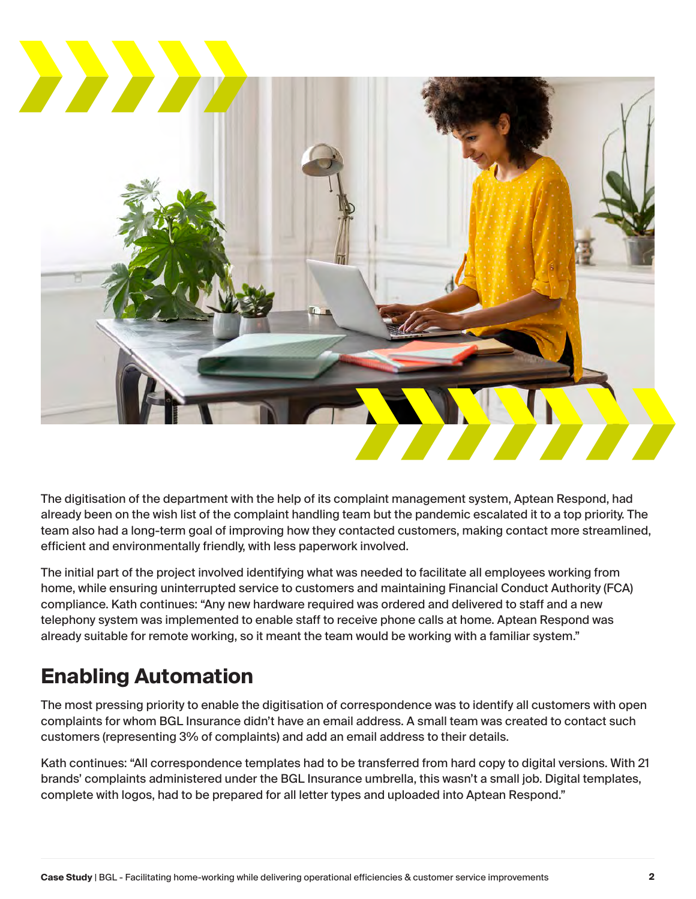

The digitisation of the department with the help of its complaint management system, Aptean Respond, had already been on the wish list of the complaint handling team but the pandemic escalated it to a top priority. The team also had a long-term goal of improving how they contacted customers, making contact more streamlined, efficient and environmentally friendly, with less paperwork involved.

The initial part of the project involved identifying what was needed to facilitate all employees working from home, while ensuring uninterrupted service to customers and maintaining Financial Conduct Authority (FCA) compliance. Kath continues: "Any new hardware required was ordered and delivered to staff and a new telephony system was implemented to enable staff to receive phone calls at home. Aptean Respond was already suitable for remote working, so it meant the team would be working with a familiar system."

### **Enabling Automation**

The most pressing priority to enable the digitisation of correspondence was to identify all customers with open complaints for whom BGL Insurance didn't have an email address. A small team was created to contact such customers (representing 3% of complaints) and add an email address to their details.

Kath continues: "All correspondence templates had to be transferred from hard copy to digital versions. With 21 brands' complaints administered under the BGL Insurance umbrella, this wasn't a small job. Digital templates, complete with logos, had to be prepared for all letter types and uploaded into Aptean Respond."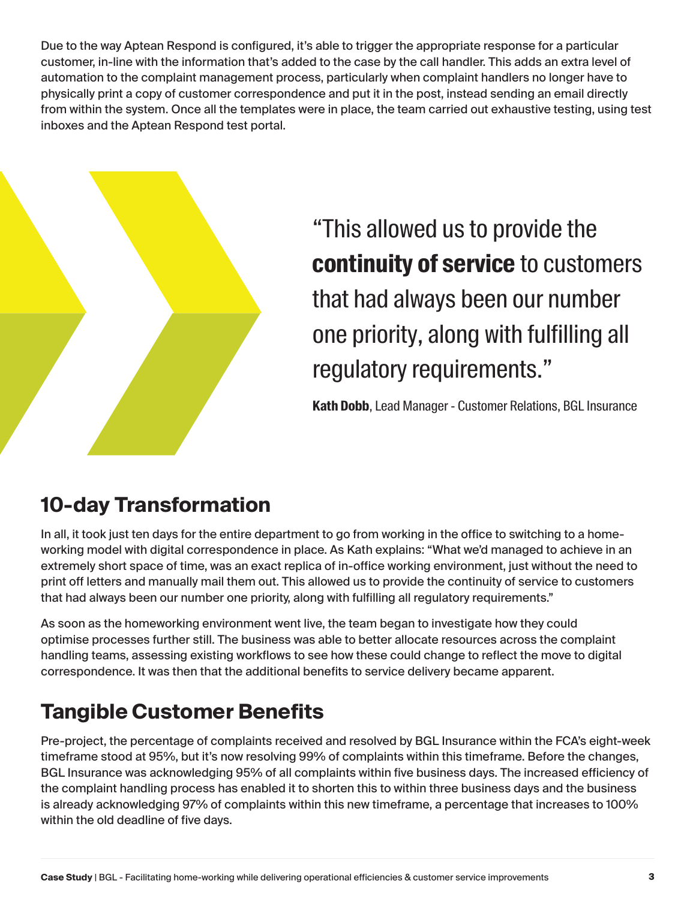Due to the way Aptean Respond is configured, it's able to trigger the appropriate response for a particular customer, in-line with the information that's added to the case by the call handler. This adds an extra level of automation to the complaint management process, particularly when complaint handlers no longer have to physically print a copy of customer correspondence and put it in the post, instead sending an email directly from within the system. Once all the templates were in place, the team carried out exhaustive testing, using test inboxes and the Aptean Respond test portal.



"This allowed us to provide the **continuity of service** to customers that had always been our number one priority, along with fulfilling all regulatory requirements."

**Kath Dobb**, Lead Manager - Customer Relations, BGL Insurance

## **10-day Transformation**

In all, it took just ten days for the entire department to go from working in the office to switching to a homeworking model with digital correspondence in place. As Kath explains: "What we'd managed to achieve in an extremely short space of time, was an exact replica of in-office working environment, just without the need to print off letters and manually mail them out. This allowed us to provide the continuity of service to customers that had always been our number one priority, along with fulfilling all regulatory requirements."

As soon as the homeworking environment went live, the team began to investigate how they could optimise processes further still. The business was able to better allocate resources across the complaint handling teams, assessing existing workflows to see how these could change to reflect the move to digital correspondence. It was then that the additional benefits to service delivery became apparent.

## **Tangible Customer Benefits**

Pre-project, the percentage of complaints received and resolved by BGL Insurance within the FCA's eight-week timeframe stood at 95%, but it's now resolving 99% of complaints within this timeframe. Before the changes, BGL Insurance was acknowledging 95% of all complaints within five business days. The increased efficiency of the complaint handling process has enabled it to shorten this to within three business days and the business is already acknowledging 97% of complaints within this new timeframe, a percentage that increases to 100% within the old deadline of five days.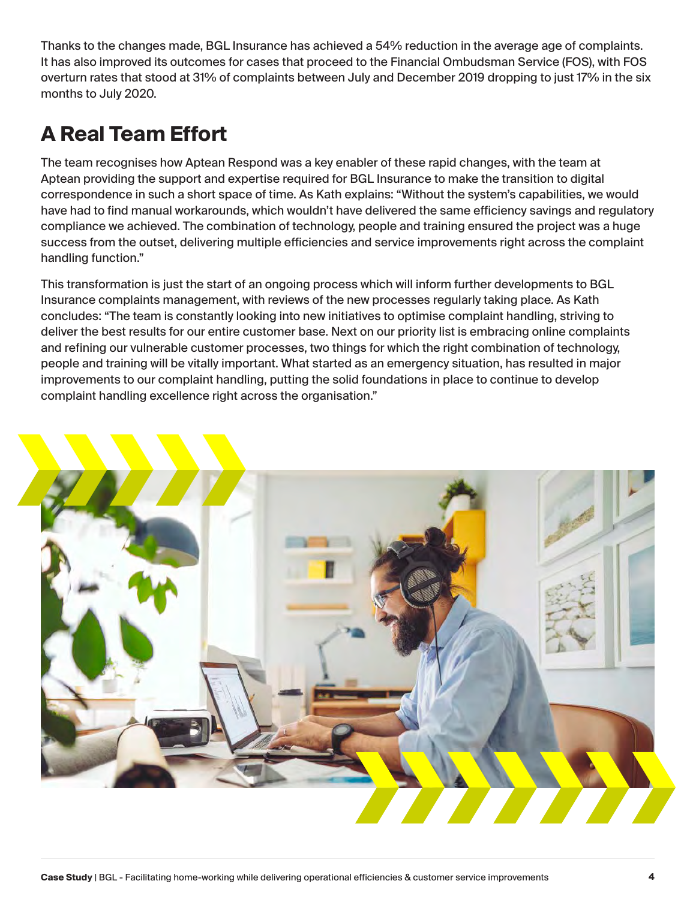Thanks to the changes made, BGL Insurance has achieved a 54% reduction in the average age of complaints. It has also improved its outcomes for cases that proceed to the Financial Ombudsman Service (FOS), with FOS overturn rates that stood at 31% of complaints between July and December 2019 dropping to just 17% in the six months to July 2020.

## **A Real Team Effort**

The team recognises how Aptean Respond was a key enabler of these rapid changes, with the team at Aptean providing the support and expertise required for BGL Insurance to make the transition to digital correspondence in such a short space of time. As Kath explains: "Without the system's capabilities, we would have had to find manual workarounds, which wouldn't have delivered the same efficiency savings and regulatory compliance we achieved. The combination of technology, people and training ensured the project was a huge success from the outset, delivering multiple efficiencies and service improvements right across the complaint handling function."

This transformation is just the start of an ongoing process which will inform further developments to BGL Insurance complaints management, with reviews of the new processes regularly taking place. As Kath concludes: "The team is constantly looking into new initiatives to optimise complaint handling, striving to deliver the best results for our entire customer base. Next on our priority list is embracing online complaints and refining our vulnerable customer processes, two things for which the right combination of technology, people and training will be vitally important. What started as an emergency situation, has resulted in major improvements to our complaint handling, putting the solid foundations in place to continue to develop complaint handling excellence right across the organisation."